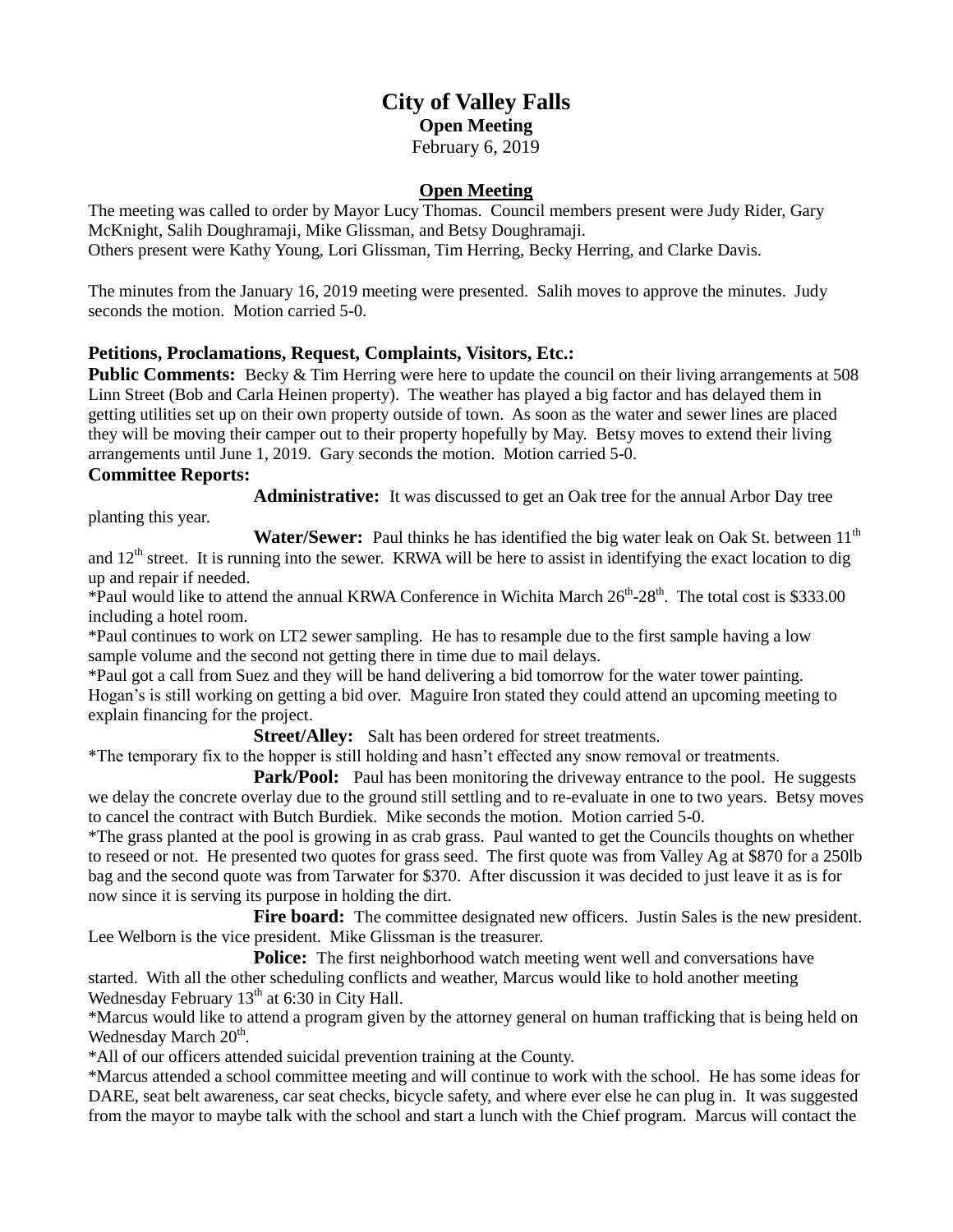# **City of Valley Falls Open Meeting** February 6, 2019

### **Open Meeting**

The meeting was called to order by Mayor Lucy Thomas. Council members present were Judy Rider, Gary McKnight, Salih Doughramaji, Mike Glissman, and Betsy Doughramaji. Others present were Kathy Young, Lori Glissman, Tim Herring, Becky Herring, and Clarke Davis.

The minutes from the January 16, 2019 meeting were presented. Salih moves to approve the minutes. Judy seconds the motion. Motion carried 5-0.

# **Petitions, Proclamations, Request, Complaints, Visitors, Etc.:**

**Public Comments:** Becky & Tim Herring were here to update the council on their living arrangements at 508 Linn Street (Bob and Carla Heinen property). The weather has played a big factor and has delayed them in getting utilities set up on their own property outside of town. As soon as the water and sewer lines are placed they will be moving their camper out to their property hopefully by May. Betsy moves to extend their living arrangements until June 1, 2019. Gary seconds the motion. Motion carried 5-0.

#### **Committee Reports:**

**Administrative:** It was discussed to get an Oak tree for the annual Arbor Day tree

planting this year.

**Water/Sewer:** Paul thinks he has identified the big water leak on Oak St. between 11<sup>th</sup>

and  $12<sup>th</sup>$  street. It is running into the sewer. KRWA will be here to assist in identifying the exact location to dig up and repair if needed.

\*Paul would like to attend the annual KRWA Conference in Wichita March 26<sup>th</sup>-28<sup>th</sup>. The total cost is \$333.00 including a hotel room.

\*Paul continues to work on LT2 sewer sampling. He has to resample due to the first sample having a low sample volume and the second not getting there in time due to mail delays.

\*Paul got a call from Suez and they will be hand delivering a bid tomorrow for the water tower painting. Hogan's is still working on getting a bid over. Maguire Iron stated they could attend an upcoming meeting to explain financing for the project.

**Street/Alley:** Salt has been ordered for street treatments.

\*The temporary fix to the hopper is still holding and hasn't effected any snow removal or treatments.

**Park/Pool:** Paul has been monitoring the driveway entrance to the pool. He suggests we delay the concrete overlay due to the ground still settling and to re-evaluate in one to two years. Betsy moves to cancel the contract with Butch Burdiek. Mike seconds the motion. Motion carried 5-0.

\*The grass planted at the pool is growing in as crab grass. Paul wanted to get the Councils thoughts on whether to reseed or not. He presented two quotes for grass seed. The first quote was from Valley Ag at \$870 for a 250lb bag and the second quote was from Tarwater for \$370. After discussion it was decided to just leave it as is for now since it is serving its purpose in holding the dirt.

**Fire board:** The committee designated new officers. Justin Sales is the new president. Lee Welborn is the vice president. Mike Glissman is the treasurer.

**Police:** The first neighborhood watch meeting went well and conversations have started. With all the other scheduling conflicts and weather, Marcus would like to hold another meeting Wednesday February  $13<sup>th</sup>$  at 6:30 in City Hall.

\*Marcus would like to attend a program given by the attorney general on human trafficking that is being held on Wednesday March 20<sup>th</sup>.

\*All of our officers attended suicidal prevention training at the County.

\*Marcus attended a school committee meeting and will continue to work with the school. He has some ideas for DARE, seat belt awareness, car seat checks, bicycle safety, and where ever else he can plug in. It was suggested from the mayor to maybe talk with the school and start a lunch with the Chief program. Marcus will contact the